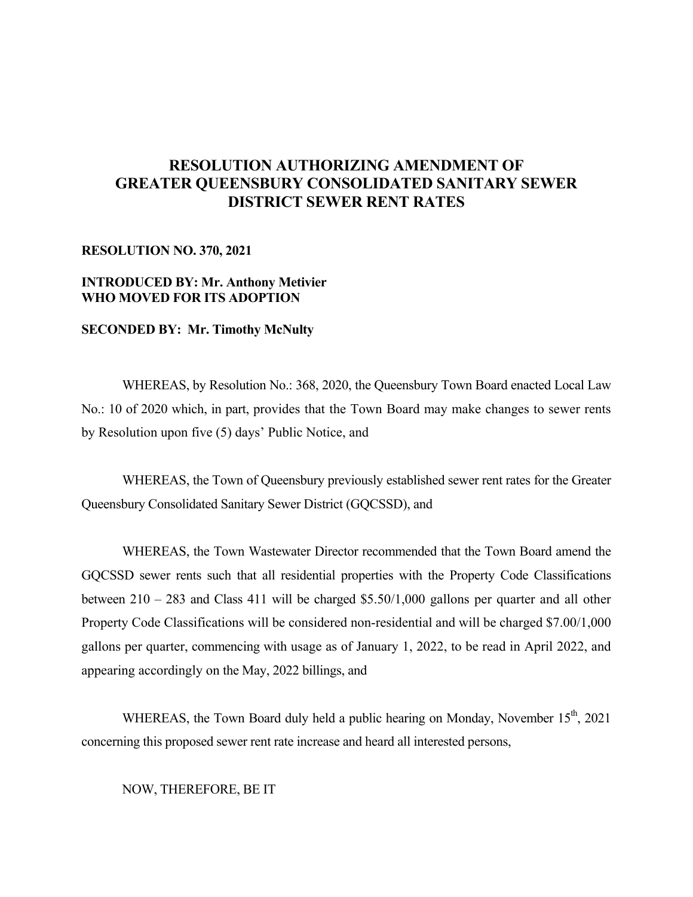# **RESOLUTION AUTHORIZING AMENDMENT OF GREATER QUEENSBURY CONSOLIDATED SANITARY SEWER DISTRICT SEWER RENT RATES**

#### **RESOLUTION NO. 370, 2021**

## **INTRODUCED BY: Mr. Anthony Metivier WHO MOVED FOR ITS ADOPTION**

## **SECONDED BY: Mr. Timothy McNulty**

 WHEREAS, by Resolution No.: 368, 2020, the Queensbury Town Board enacted Local Law No.: 10 of 2020 which, in part, provides that the Town Board may make changes to sewer rents by Resolution upon five (5) days' Public Notice, and

 WHEREAS, the Town of Queensbury previously established sewer rent rates for the Greater Queensbury Consolidated Sanitary Sewer District (GQCSSD), and

WHEREAS, the Town Wastewater Director recommended that the Town Board amend the GQCSSD sewer rents such that all residential properties with the Property Code Classifications between  $210 - 283$  and Class 411 will be charged \$5.50/1,000 gallons per quarter and all other Property Code Classifications will be considered non-residential and will be charged \$7.00/1,000 gallons per quarter, commencing with usage as of January 1, 2022, to be read in April 2022, and appearing accordingly on the May, 2022 billings, and

WHEREAS, the Town Board duly held a public hearing on Monday, November  $15<sup>th</sup>$ , 2021 concerning this proposed sewer rent rate increase and heard all interested persons,

NOW, THEREFORE, BE IT